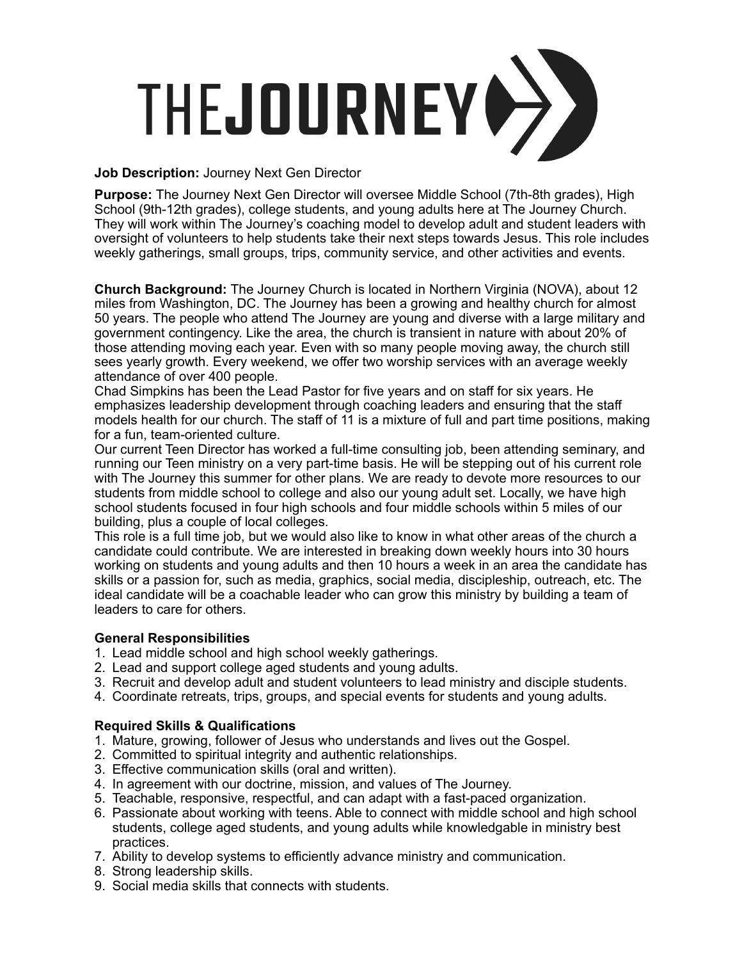

## **Job Description:** Journey Next Gen Director

**Purpose:** The Journey Next Gen Director will oversee Middle School (7th-8th grades), High School (9th-12th grades), college students, and young adults here at The Journey Church. They will work within The Journey's coaching model to develop adult and student leaders with oversight of volunteers to help students take their next steps towards Jesus. This role includes weekly gatherings, small groups, trips, community service, and other activities and events.

**Church Background:** The Journey Church is located in Northern Virginia (NOVA), about 12 miles from Washington, DC. The Journey has been a growing and healthy church for almost 50 years. The people who attend The Journey are young and diverse with a large military and government contingency. Like the area, the church is transient in nature with about 20% of those attending moving each year. Even with so many people moving away, the church still sees yearly growth. Every weekend, we offer two worship services with an average weekly attendance of over 400 people.

Chad Simpkins has been the Lead Pastor for five years and on staff for six years. He emphasizes leadership development through coaching leaders and ensuring that the staff models health for our church. The staff of 11 is a mixture of full and part time positions, making for a fun, team-oriented culture.

Our current Teen Director has worked a full-time consulting job, been attending seminary, and running our Teen ministry on a very part-time basis. He will be stepping out of his current role with The Journey this summer for other plans. We are ready to devote more resources to our students from middle school to college and also our young adult set. Locally, we have high school students focused in four high schools and four middle schools within 5 miles of our building, plus a couple of local colleges.

This role is a full time job, but we would also like to know in what other areas of the church a candidate could contribute. We are interested in breaking down weekly hours into 30 hours working on students and young adults and then 10 hours a week in an area the candidate has skills or a passion for, such as media, graphics, social media, discipleship, outreach, etc. The ideal candidate will be a coachable leader who can grow this ministry by building a team of leaders to care for others.

## **General Responsibilities**

- 1. Lead middle school and high school weekly gatherings.
- 2. Lead and support college aged students and young adults.
- 3. Recruit and develop adult and student volunteers to lead ministry and disciple students.
- 4. Coordinate retreats, trips, groups, and special events for students and young adults.

## **Required Skills & Qualifications**

- 1. Mature, growing, follower of Jesus who understands and lives out the Gospel.
- 2. Committed to spiritual integrity and authentic relationships.
- 3. Effective communication skills (oral and written).
- 4. In agreement with our doctrine, mission, and values of The Journey.
- 5. Teachable, responsive, respectful, and can adapt with a fast-paced organization.
- 6. Passionate about working with teens. Able to connect with middle school and high school students, college aged students, and young adults while knowledgable in ministry best practices.
- 7. Ability to develop systems to efficiently advance ministry and communication.
- 8. Strong leadership skills.
- 9. Social media skills that connects with students.